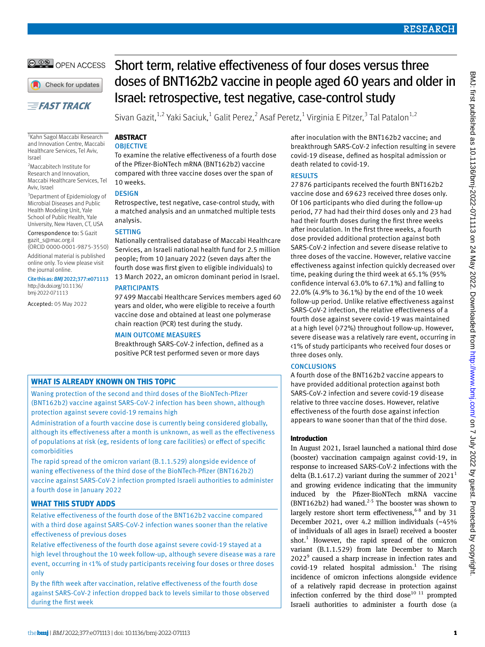

Check for updates

# **EFAST TRACK**

1 Kahn Sagol Maccabi Research and Innovation Centre, Maccabi Healthcare Services, Tel Aviv, Israel

2 Maccabitech Institute for Research and Innovation, Maccabi Healthcare Services, Tel Aviv, Israel

<sup>3</sup>Department of Epidemiology of Microbial Diseases and Public Health Modeling Unit, Yale School of Public Health, Yale University, New Haven, CT, USA

Correspondence to: S Gazit [gazit\\_s@mac.org.il](mailto:gazit_s@mac.org.il) 

(ORCID [0000-0001-9875-3550](https://orcid.org/0000-0001-9875-3550)) Additional material is published online only. To view please visit the journal online.

Cite this as: *BMJ*2022;377:e071113 [http://dx.doi.org/10.1136/](https://dx.doi.org/10.1136/bmj-2022-071113) [bmj-2022-071113](https://dx.doi.org/10.1136/bmj-2022-071113)

Accepted: 05 May 2022

# Short term, relative effectiveness of four doses versus three doses of BNT162b2 vaccine in people aged 60 years and older in Israel: retrospective, test negative, case-control study

Sivan Gazit,<sup>1,2</sup> Yaki Saciuk,<sup>1</sup> Galit Perez,<sup>2</sup> Asaf Peretz,<sup>1</sup> Virginia E Pitzer,<sup>3</sup> Tal Patalon<sup>1,2</sup>

# **Abstract**

# **OBJECTIVE**

To examine the relative effectiveness of a fourth dose of the Pfizer-BioNTech mRNA (BNT162b2) vaccine compared with three vaccine doses over the span of 10 weeks.

# **DESIGN**

Retrospective, test negative, case-control study, with a matched analysis and an unmatched multiple tests analysis.

# **SETTING**

Nationally centralised database of Maccabi Healthcare Services, an Israeli national health fund for 2.5 million people; from 10 January 2022 (seven days after the fourth dose was first given to eligible individuals) to 13 March 2022, an omicron dominant period in Israel.

# **PARTICIPANTS**

97499 Maccabi Healthcare Services members aged 60 years and older, who were eligible to receive a fourth vaccine dose and obtained at least one polymerase chain reaction (PCR) test during the study.

# Main outcome measures

Breakthrough SARS-CoV-2 infection, defined as a positive PCR test performed seven or more days

# **What is already known on this topic**

Waning protection of the second and third doses of the BioNTech-Pfizer (BNT162b2) vaccine against SARS-CoV-2 infection has been shown, although protection against severe covid-19 remains high

Administration of a fourth vaccine dose is currently being considered globally, although its effectiveness after a month is unknown, as well as the effectiveness of populations at risk (eg, residents of long care facilities) or effect of specific comorbidities

The rapid spread of the omicron variant (B.1.1.529) alongside evidence of waning effectiveness of the third dose of the BioNTech-Pfizer (BNT162b2) vaccine against SARS-CoV-2 infection prompted Israeli authorities to administer a fourth dose in January 2022

# **What this study adds**

Relative effectiveness of the fourth dose of the BNT162b2 vaccine compared with a third dose against SARS-CoV-2 infection wanes sooner than the relative effectiveness of previous doses

Relative effectiveness of the fourth dose against severe covid-19 stayed at a high level throughout the 10 week follow-up, although severe disease was a rare event, occurring in <1% of study participants receiving four doses or three doses only

By the fifth week after vaccination, relative effectiveness of the fourth dose against SARS-CoV-2 infection dropped back to levels similar to those observed during the first week

after inoculation with the BNT162b2 vaccine; and breakthrough SARS-CoV-2 infection resulting in severe covid-19 disease, defined as hospital admission or death related to covid-19.

# **RESULTS**

27876 participants received the fourth BNT162b2 vaccine dose and 69623 received three doses only. Of 106 participants who died during the follow-up period, 77 had had their third doses only and 23 had had their fourth doses during the first three weeks after inoculation. In the first three weeks, a fourth dose provided additional protection against both SARS-CoV-2 infection and severe disease relative to three doses of the vaccine. However, relative vaccine effectiveness against infection quickly decreased over time, peaking during the third week at 65.1% (95% confidence interval 63.0% to 67.1%) and falling to 22.0% (4.9% to 36.1%) by the end of the 10 week follow-up period. Unlike relative effectiveness against SARS-CoV-2 infection, the relative effectiveness of a fourth dose against severe covid-19 was maintained at a high level (>72%) throughout follow-up. However, severe disease was a relatively rare event, occurring in <1% of study participants who received four doses or three doses only.

# **CONCLUSIONS**

A fourth dose of the BNT162b2 vaccine appears to have provided additional protection against both SARS-CoV-2 infection and severe covid-19 disease relative to three vaccine doses. However, relative effectiveness of the fourth dose against infection appears to wane sooner than that of the third dose.

# **Introduction**

In August 2021, Israel launched a national third dose (booster) vaccination campaign against covid-19, in response to increased SARS-CoV-2 infections with the delta (B.1.617.2) variant during the summer of  $2021<sup>1</sup>$ and growing evidence indicating that the immunity induced by the Pfizer-BioNTech mRNA vaccine (BNT162b2) had waned.<sup>2-5</sup> The booster was shown to largely restore short term effectiveness,  $6-8$  and by 31 December 2021, over 4.2 million individuals (~45% of individuals of all ages in Israel) received a booster shot.<sup>1</sup> However, the rapid spread of the omicron variant (B.1.1.529) from late December to March 2022<sup>9</sup> caused a sharp increase in infection rates and  $covid-19$  related hospital admission.<sup>1</sup> The rising incidence of omicron infections alongside evidence of a relatively rapid decrease in protection against infection conferred by the third dose<sup>10 11</sup> prompted Israeli authorities to administer a fourth dose (a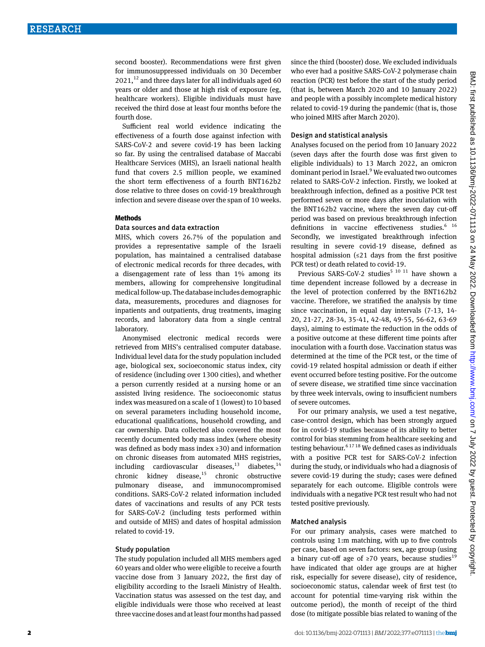second booster). Recommendations were first given for immunosuppressed individuals on 30 December  $2021$ ,<sup>12</sup> and three days later for all individuals aged 60 years or older and those at high risk of exposure (eg, healthcare workers). Eligible individuals must have received the third dose at least four months before the fourth dose.

Sufficient real world evidence indicating the effectiveness of a fourth dose against infection with SARS-CoV-2 and severe covid-19 has been lacking so far. By using the centralised database of Maccabi Healthcare Services (MHS), an Israeli national health fund that covers 2.5 million people, we examined the short term effectiveness of a fourth BNT162b2 dose relative to three doses on covid-19 breakthrough infection and severe disease over the span of 10 weeks.

#### **Methods**

#### Data sources and data extraction

MHS, which covers 26.7% of the population and provides a representative sample of the Israeli population, has maintained a centralised database of electronic medical records for three decades, with a disengagement rate of less than 1% among its members, allowing for comprehensive longitudinal medical follow-up. The database includes demographic data, measurements, procedures and diagnoses for inpatients and outpatients, drug treatments, imaging records, and laboratory data from a single central laboratory.

Anonymised electronic medical records were retrieved from MHS's centralised computer database. Individual level data for the study population included age, biological sex, socioeconomic status index, city of residence (including over 1300 cities), and whether a person currently resided at a nursing home or an assisted living residence. The socioeconomic status index was measured on a scale of 1 (lowest) to 10 based on several parameters including household income, educational qualifications, household crowding, and car ownership. Data collected also covered the most recently documented body mass index (where obesity was defined as body mass index ≥30) and information on chronic diseases from automated MHS registries, including cardiovascular diseases, $13$  diabetes, $14$ chronic kidney disease, $15$  chronic obstructive pulmonary disease, and immunocompromised conditions. SARS-CoV-2 related information included dates of vaccinations and results of any PCR tests for SARS-CoV-2 (including tests performed within and outside of MHS) and dates of hospital admission related to covid-19.

#### Study population

The study population included all MHS members aged 60 years and older who were eligible to receive a fourth vaccine dose from 3 January 2022, the first day of eligibility according to the Israeli Ministry of Health. Vaccination status was assessed on the test day, and eligible individuals were those who received at least three vaccine doses and at least four months had passed since the third (booster) dose. We excluded individuals who ever had a positive SARS-CoV-2 polymerase chain reaction (PCR) test before the start of the study period (that is, between March 2020 and 10 January 2022) and people with a possibly incomplete medical history related to covid-19 during the pandemic (that is, those who joined MHS after March 2020).

#### Design and statistical analysis

Analyses focused on the period from 10 January 2022 (seven days after the fourth dose was first given to eligible individuals) to 13 March 2022, an omicron dominant period in Israel.<sup>9</sup> We evaluated two outcomes related to SARS-CoV-2 infection. Firstly, we looked at breakthrough infection, defined as a positive PCR test performed seven or more days after inoculation with the BNT162b2 vaccine, where the seven day cut-off period was based on previous breakthrough infection definitions in vaccine effectiveness studies. $6^{6}$  16 Secondly, we investigated breakthrough infection resulting in severe covid-19 disease, defined as hospital admission  $(≤21$  days from the first positive PCR test) or death related to covid-19.

Previous SARS-CoV-2 studies<sup>5 10 11</sup> have shown a time dependent increase followed by a decrease in the level of protection conferred by the BNT162b2 vaccine. Therefore, we stratified the analysis by time since vaccination, in equal day intervals (7-13, 14- 20, 21-27, 28-34, 35-41, 42-48, 49-55, 56-62, 63-69 days), aiming to estimate the reduction in the odds of a positive outcome at these different time points after inoculation with a fourth dose. Vaccination status was determined at the time of the PCR test, or the time of covid-19 related hospital admission or death if either event occurred before testing positive. For the outcome of severe disease, we stratified time since vaccination by three week intervals, owing to insufficient numbers of severe outcomes.

For our primary analysis, we used a test negative, case-control design, which has been strongly argued for in covid-19 studies because of its ability to better control for bias stemming from healthcare seeking and testing behaviour.<sup>6 17 18</sup> We defined cases as individuals with a positive PCR test for SARS-CoV-2 infection during the study, or individuals who had a diagnosis of severe covid-19 during the study; cases were defined separately for each outcome. Eligible controls were individuals with a negative PCR test result who had not tested positive previously.

#### Matched analysis

For our primary analysis, cases were matched to controls using 1:m matching, with up to five controls per case, based on seven factors: sex, age group (using a binary cut-off age of ≥70 years, because studies<sup>19</sup> have indicated that older age groups are at higher risk, especially for severe disease), city of residence, socioeconomic status, calendar week of first test (to account for potential time-varying risk within the outcome period), the month of receipt of the third dose (to mitigate possible bias related to waning of the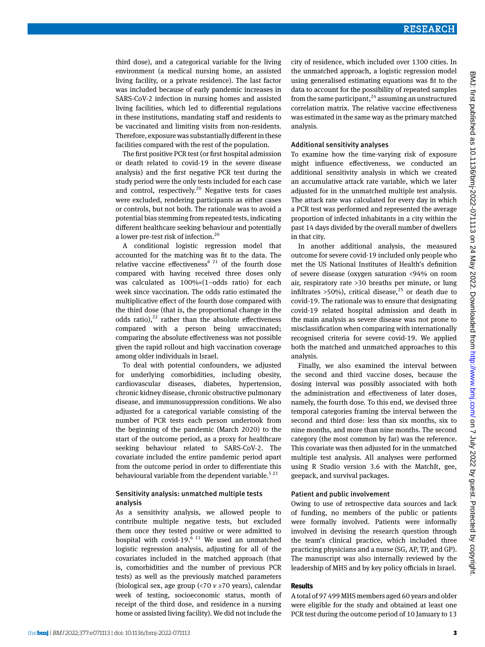third dose), and a categorical variable for the living environment (a medical nursing home, an assisted living facility, or a private residence). The last factor was included because of early pandemic increases in SARS-CoV-2 infection in nursing homes and assisted living facilities, which led to differential regulations in these institutions, mandating staff and residents to be vaccinated and limiting visits from non-residents. Therefore, exposure was substantially different in these facilities compared with the rest of the population.

The first positive PCR test (or first hospital admission or death related to covid-19 in the severe disease analysis) and the first negative PCR test during the study period were the only tests included for each case and control, respectively. $20$  Negative tests for cases were excluded, rendering participants as either cases or controls, but not both. The rationale was to avoid a potential bias stemming from repeated tests, indicating different healthcare seeking behaviour and potentially a lower pre-test risk of infection.20

A conditional logistic regression model that accounted for the matching was fit to the data. The relative vaccine effectiveness<sup>6 21</sup> of the fourth dose compared with having received three doses only was calculated as 100%×(1−odds ratio) for each week since vaccination. The odds ratio estimated the multiplicative effect of the fourth dose compared with the third dose (that is, the proportional change in the odds ratio), $^{22}$  rather than the absolute effectiveness compared with a person being unvaccinated; comparing the absolute effectiveness was not possible given the rapid rollout and high vaccination coverage among older individuals in Israel.

To deal with potential confounders, we adjusted for underlying comorbidities, including obesity, cardiovascular diseases, diabetes, hypertension, chronic kidney disease, chronic obstructive pulmonary disease, and immunosuppression conditions. We also adjusted for a categorical variable consisting of the number of PCR tests each person undertook from the beginning of the pandemic (March 2020) to the start of the outcome period, as a proxy for healthcare seeking behaviour related to SARS-CoV-2. The covariate included the entire pandemic period apart from the outcome period in order to differentiate this behavioural variable from the dependent variable.<sup>523</sup>

### Sensitivity analysis: unmatched multiple tests analysis

As a sensitivity analysis, we allowed people to contribute multiple negative tests, but excluded them once they tested positive or were admitted to hospital with covid-19. $6$ <sup>11</sup> We used an unmatched logistic regression analysis, adjusting for all of the covariates included in the matched approach (that is, comorbidities and the number of previous PCR tests) as well as the previously matched parameters (biological sex, age group (<70 *v* ≥70 years), calendar week of testing, socioeconomic status, month of receipt of the third dose, and residence in a nursing home or assisted living facility). We did not include the

city of residence, which included over 1300 cities. In the unmatched approach, a logistic regression model using generalised estimating equations was fit to the data to account for the possibility of repeated samples from the same participant,  $24$  assuming an unstructured correlation matrix. The relative vaccine effectiveness was estimated in the same way as the primary matched analysis.

#### Additional sensitivity analyses

To examine how the time-varying risk of exposure might influence effectiveness, we conducted an additional sensitivity analysis in which we created an accumulative attack rate variable, which we later adjusted for in the unmatched multiple test analysis. The attack rate was calculated for every day in which a PCR test was performed and represented the average proportion of infected inhabitants in a city within the past 14 days divided by the overall number of dwellers in that city.

In another additional analysis, the measured outcome for severe covid-19 included only people who met the US National Institutes of Health's definition of severe disease (oxygen saturation <94% on room air, respiratory rate >30 breaths per minute, or lung infiltrates >50%), critical disease, $25$  or death due to covid-19. The rationale was to ensure that designating covid-19 related hospital admission and death in the main analysis as severe disease was not prone to misclassification when comparing with internationally recognised criteria for severe covid-19. We applied both the matched and unmatched approaches to this analysis.

Finally, we also examined the interval between the second and third vaccine doses, because the dosing interval was possibly associated with both the administration and effectiveness of later doses, namely, the fourth dose. To this end, we devised three temporal categories framing the interval between the second and third dose: less than six months, six to nine months, and more than nine months. The second category (the most common by far) was the reference. This covariate was then adjusted for in the unmatched multiple test analysis. All analyses were performed using R Studio version 3.6 with the MatchIt, gee, geepack, and survival packages.

# Patient and public involvement

Owing to use of retrospective data sources and lack of funding, no members of the public or patients were formally involved. Patients were informally involved in devising the research question through the team's clinical practice, which included three practicing physicians and a nurse (SG, AP, TP, and GP). The manuscript was also internally reviewed by the leadership of MHS and by key policy officials in Israel.

### **Results**

A total of 97499 MHS members aged 60 years and older were eligible for the study and obtained at least one PCR test during the outcome period of 10 January to 13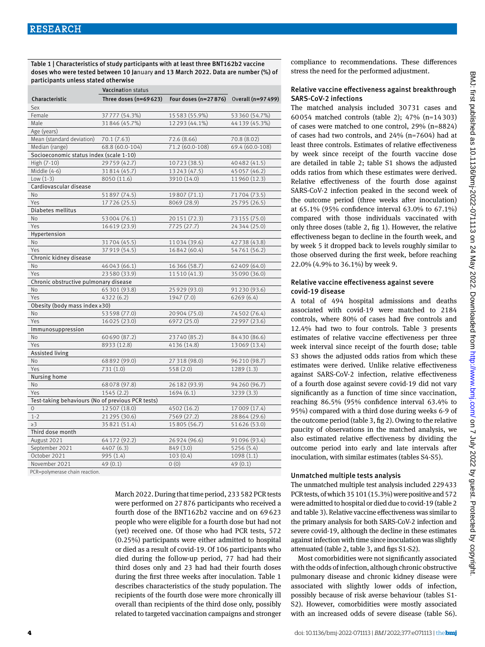Table 1 | Characteristics of study participants with at least three BNT162b2 vaccine doses who were tested between 10 January and 13 March 2022. Data are number (%) of participants unless stated otherwise

|                                                   | <b>Vaccination status</b> |                                        |                 |  |  |  |  |  |  |
|---------------------------------------------------|---------------------------|----------------------------------------|-----------------|--|--|--|--|--|--|
| Characteristic                                    | Three doses (n=69623)     | Four doses (n=27876) Overall (n=97499) |                 |  |  |  |  |  |  |
| Sex                                               |                           |                                        |                 |  |  |  |  |  |  |
| Female                                            | 37777 (54.3%)             | 15583 (55.9%)                          | 53360 (54.7%)   |  |  |  |  |  |  |
| Male                                              | 31846 (45.7%)             | 12293 (44.1%)                          | 44 139 (45.3%)  |  |  |  |  |  |  |
| Age (years)                                       |                           |                                        |                 |  |  |  |  |  |  |
| Mean (standard deviation)                         | 70.1(7.63)                | 72.6 (8.66)                            | 70.8 (8.02)     |  |  |  |  |  |  |
| Median (range)                                    | 68.8 (60.0-104)           | 71.2 (60.0-108)                        | 69.4 (60.0-108) |  |  |  |  |  |  |
| Socioeconomic status index (scale 1-10)           |                           |                                        |                 |  |  |  |  |  |  |
| High (7-10)                                       | 29759 (42.7)              | 10723 (38.5)                           | 40482 (41.5)    |  |  |  |  |  |  |
| Middle (4-6)                                      | 31814 (45.7)              | 13243 (47.5)                           | 45057 (46.2)    |  |  |  |  |  |  |
| Low $(1-3)$                                       | 8050 (11.6)               | 3910 (14.0)                            | 11960 (12.3)    |  |  |  |  |  |  |
| Cardiovascular disease                            |                           |                                        |                 |  |  |  |  |  |  |
| No                                                | 51897 (74.5)              | 19807 (71.1)                           | 71704 (73.5)    |  |  |  |  |  |  |
| Yes                                               | 17726 (25.5)              | 8069 (28.9)                            | 25795 (26.5)    |  |  |  |  |  |  |
| Diabetes mellitus                                 |                           |                                        |                 |  |  |  |  |  |  |
| No                                                | 53004 (76.1)              | 20151 (72.3)                           | 73155 (75.0)    |  |  |  |  |  |  |
| Yes                                               | 16619 (23.9)              | 7725 (27.7)                            | 24344 (25.0)    |  |  |  |  |  |  |
| Hypertension                                      |                           |                                        |                 |  |  |  |  |  |  |
| No                                                | 31704 (45.5)              | 11034 (39.6)                           | 42738 (43.8)    |  |  |  |  |  |  |
| Yes                                               | 37919 (54.5)              | 16842 (60.4)                           | 54761 (56.2)    |  |  |  |  |  |  |
| Chronic kidney disease                            |                           |                                        |                 |  |  |  |  |  |  |
| No                                                | 46043 (66.1)              | 16366 (58.7)                           | 62 409 (64.0)   |  |  |  |  |  |  |
| Yes                                               | 23 580 (33.9)             | 11510 (41.3)                           | 35090 (36.0)    |  |  |  |  |  |  |
| Chronic obstructive pulmonary disease             |                           |                                        |                 |  |  |  |  |  |  |
| N <sub>o</sub>                                    | 65 301 (93.8)             | 25929 (93.0)                           | 91 230 (93.6)   |  |  |  |  |  |  |
| Yes                                               | 4322 (6.2)                | 1947 (7.0)                             | 6269 (6.4)      |  |  |  |  |  |  |
| Obesity (body mass index ≥30)                     |                           |                                        |                 |  |  |  |  |  |  |
| No                                                | 53598 (77.0)              | 20904 (75.0)                           | 74502 (76.4)    |  |  |  |  |  |  |
| Yes                                               | 16025 (23.0)              | 6972 (25.0)                            | 22997 (23.6)    |  |  |  |  |  |  |
| Immunosuppression                                 |                           |                                        |                 |  |  |  |  |  |  |
| No.                                               | 60690 (87.2)              | 23740 (85.2)                           | 84430 (86.6)    |  |  |  |  |  |  |
| Yes                                               | 8933 (12.8)               | 4136 (14.8)                            | 13069 (13.4)    |  |  |  |  |  |  |
| Assisted living                                   |                           |                                        |                 |  |  |  |  |  |  |
| No                                                | 68892 (99.0)              | 27 318 (98.0)                          | 96 210 (98.7)   |  |  |  |  |  |  |
| Yes                                               | 731 (1.0)                 | 558 (2.0)                              | 1289(1.3)       |  |  |  |  |  |  |
| Nursing home                                      |                           |                                        |                 |  |  |  |  |  |  |
| No.                                               | 68078 (97.8)              | 26 182 (93.9)                          | 94 260 (96.7)   |  |  |  |  |  |  |
| Yes                                               | 1545 (2.2)                | 1694 (6.1)                             | 3239 (3.3)      |  |  |  |  |  |  |
| Test-taking behaviours (No of previous PCR tests) |                           |                                        |                 |  |  |  |  |  |  |
| 0                                                 | 12507 (18.0)              | 4502 (16.2)                            | 17009 (17.4)    |  |  |  |  |  |  |
| $1 - 2$                                           | 21 295 (30.6)             | 7569 (27.2)                            | 28864 (29.6)    |  |  |  |  |  |  |
| $\geq$ 3                                          | 35821 (51.4)              | 15805 (56.7)                           | 51626 (53.0)    |  |  |  |  |  |  |
| Third dose month                                  |                           |                                        |                 |  |  |  |  |  |  |
| August 2021                                       | 64 172 (92.2)             | 26924 (96.6)                           | 91096 (93.4)    |  |  |  |  |  |  |
| September 2021                                    | 4407 (6.3)                | 849 (3.0)                              | 5256 (5.4)      |  |  |  |  |  |  |
| October 2021                                      | 995 (1.4)                 | 103(0.4)                               | 1098 (1.1)      |  |  |  |  |  |  |
| November 2021                                     | 49(0.1)                   | 0(0)                                   | 49(0.1)         |  |  |  |  |  |  |

PCR=polymerase chain reaction.

March 2022. During that time period, 233582 PCR tests were performed on 27876 participants who received a fourth dose of the BNT162b2 vaccine and on 69623 people who were eligible for a fourth dose but had not (yet) received one. Of those who had PCR tests, 572 (0.25%) participants were either admitted to hospital or died as a result of covid-19. Of 106 participants who died during the follow-up period, 77 had had their third doses only and 23 had had their fourth doses during the first three weeks after inoculation. Table 1 describes characteristics of the study population. The recipients of the fourth dose were more chronically ill overall than recipients of the third dose only, possibly related to targeted vaccination campaigns and stronger compliance to recommendations. These differences stress the need for the performed adjustment.

# Relative vaccine effectiveness against breakthrough SARS -CoV-2 infections

The matched analysis included 30731 cases and 60054 matched controls (table 2); 47% (n=14303) of cases were matched to one control, 29% (n=8824) of cases had two controls, and 24% (n=7604) had at least three controls. Estimates of relative effectiveness by week since receipt of the fourth vaccine dose are detailed in table 2; table S1 shows the adjusted odds ratios from which these estimates were derived. Relative effectiveness of the fourth dose against SARS-CoV-2 infection peaked in the second week of the outcome period (three weeks after inoculation) at 65.1% (95% confidence interval 63.0% to 67.1%) compared with those individuals vaccinated with only three doses (table 2, fig 1). However, the relative effectiveness began to decline in the fourth week, and by week 5 it dropped back to levels roughly similar to those observed during the first week, before reaching 22.0% (4.9% to 36.1%) by week 9.

### Relative vaccine effectiveness against severe covid-19 disease

A total of 494 hospital admissions and deaths associated with covid-19 were matched to 2184 controls, where 80% of cases had five controls and 12.4% had two to four controls. Table 3 presents estimates of relative vaccine effectiveness per three week interval since receipt of the fourth dose; table S<sub>3</sub> shows the adjusted odds ratios from which these estimates were derived. Unlike relative effectiveness against SARS-CoV-2 infection, relative effectiveness of a fourth dose against severe covid-19 did not vary significantly as a function of time since vaccination, reaching 86.5% (95% confidence interval 63.4% to 95%) compared with a third dose during weeks 6-9 of the outcome period (table 3, fig 2). Owing to the relative paucity of observations in the matched analysis, we also estimated relative effectiveness by dividing the outcome period into early and late intervals after inoculation, with similar estimates (tables S4-S5).

# Unmatched multiple tests analysis

The unmatched multiple test analysis included 229433 PCR tests, of which 35101 (15.3%) were positive and 572 were admitted to hospital or died due to covid-19 (table 2 and table 3). Relative vaccine effectiveness was similar to the primary analysis for both SARS-CoV-2 infection and severe covid-19, although the decline in these estimates against infection with time since inoculation was slightly attenuated (table 2, table 3, and figs S1-S2).

Most comorbidities were not significantly associated with the odds of infection, although chronic obstructive pulmonary disease and chronic kidney disease were associated with slightly lower odds of infection, possibly because of risk averse behaviour (tables S1- S2). However, comorbidities were mostly associated with an increased odds of severe disease (table S6).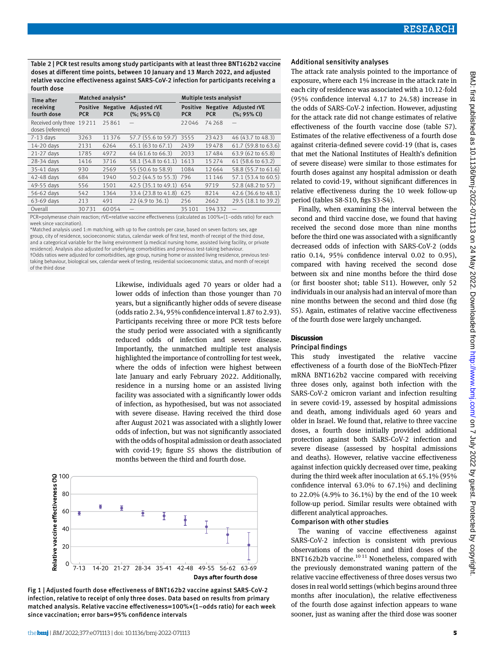Table 2 | PCR test results among study participants with at least three BNT162b2 vaccine doses at different time points, between 10 January and 13 March 2022, and adjusted relative vaccine effectiveness against SARS -CoV-2 infection for participants receiving a fourth dose

| Time after                                                                                                                    | Matched analysis*             |                               |                                                                | Multiple tests analysist      |                               |                                                                |
|-------------------------------------------------------------------------------------------------------------------------------|-------------------------------|-------------------------------|----------------------------------------------------------------|-------------------------------|-------------------------------|----------------------------------------------------------------|
| receiving<br>fourth dose                                                                                                      | <b>Positive</b><br><b>PCR</b> | <b>Negative</b><br><b>PCR</b> | <b>Adjusted rVE</b><br>$(% \mathcal{L}_{0}^{\ast}$ (%; 95% CI) | <b>Positive</b><br><b>PCR</b> | <b>Negative</b><br><b>PCR</b> | <b>Adjusted rVE</b><br>$(% \mathcal{O}_{0}^{\ast}$ (%; 95% CI) |
| Received only three<br>doses (reference)                                                                                      | 19211                         | 25861                         |                                                                | 22046                         | 74268                         |                                                                |
| $7-13$ days                                                                                                                   | 3263                          | 11376                         | 57.7 (55.6 to 59.7)                                            | 3555                          | 23423                         | 46 (43.7 to 48.3)                                              |
| 14-20 days                                                                                                                    | 2131                          | 6264                          | 65.1 (63 to 67.1)                                              | 2439                          | 19478                         | 61.7 (59.8 to 63.6)                                            |
| 21-27 days                                                                                                                    | 1785                          | 4972                          | 64 (61.6 to 66.3)                                              | 2033                          | 17484                         | 63.9 (62 to 65.8)                                              |
| 28-34 days                                                                                                                    | 1416                          | 3716                          | 58.1 (54.8 to 61.1)                                            | 1613                          | 15274                         | 61 (58.6 to 63.2)                                              |
| 35-41 days                                                                                                                    | 930                           | 2569                          | 55 (50.6 to 58.9)                                              | 1084                          | 12664                         | 58.8 (55.7 to 61.6)                                            |
| 42-48 days                                                                                                                    | 684                           | 1940                          | 50.2 (44.5 to 55.3)                                            | 796                           | 11146                         | 57.1 (53.4 to 60.5)                                            |
| 49-55 days                                                                                                                    | 556                           | 1501                          | 42.5 (35.1 to 49.1)                                            | 654                           | 9719                          | 52.8 (48.2 to 57)                                              |
| 56-62 days                                                                                                                    | 542                           | 1364                          | 33.4 (23.8 to 41.8)                                            | 625                           | 8214                          | 42.6 (36.6 to 48.1)                                            |
| 63-69 days                                                                                                                    | 213                           | 491                           | 22 (4.9 to 36.1)                                               | 256                           | 2662                          | 29.5 (18.1 to 39.2)                                            |
| Overall                                                                                                                       | 30731                         | 60054                         |                                                                | 35 101                        | 194332                        |                                                                |
| DCD in characterization of a series in AIF including control official control of a control of a series of the control formula |                               |                               |                                                                |                               |                               |                                                                |

PCR=polymerase chain reaction; rVE=relative vaccine effectiveness (calculated as 100%×(1−odds ratio) for each week since vaccination).

\*Matched analysis used 1:m matching, with up to five controls per case, based on seven factors: sex, age group, city of residence, socioeconomic status, calendar week of first test, month of receipt of the third dose, and a categorical variable for the living environment (a medical nursing home, assisted living facility, or private residence). Analysis also adjusted for underlying comorbidities and previous test-taking behaviour.

†Odds ratios were adjusted for comorbidities, age group, nursing home or assisted living residence, previous testtaking behaviour, biological sex, calendar week of testing, residential socioeconomic status, and month of receipt of the third dose

> Likewise, individuals aged 70 years or older had a lower odds of infection than those younger than 70 years, but a significantly higher odds of severe disease (odds ratio 2.34, 95% confidence interval 1.87 to 2.93). Participants receiving three or more PCR tests before the study period were associated with a significantly reduced odds of infection and severe disease. Importantly, the unmatched multiple test analysis highlighted the importance of controlling for test week, where the odds of infection were highest between late January and early February 2022. Additionally, residence in a nursing home or an assisted living facility was associated with a significantly lower odds of infection, as hypothesised, but was not associated with severe disease. Having received the third dose after August 2021 was associated with a slightly lower odds of infection, but was not significantly associated with the odds of hospital admission or death associated with covid-19; figure S5 shows the distribution of months between the third and fourth dose.



Fig 1 | Adjusted fourth dose effectiveness of BNT162b2 vaccine against SARS-CoV-2 infection, relative to receipt of only three doses. Data based on results from primary matched analysis. Relative vaccine effectiveness=100%×(1−odds ratio) for each week since vaccination; error bars=95% confidence intervals

# Additional sensitivity analyses

The attack rate analysis pointed to the importance of exposure, where each 1% increase in the attack rate in each city of residence was associated with a 10.12-fold (95% confidence interval 4.17 to 24.58) increase in the odds of SARS-CoV-2 infection. However, adjusting for the attack rate did not change estimates of relative effectiveness of the fourth vaccine dose (table S7). Estimates of the relative effectiveness of a fourth dose against criteria-defined severe covid-19 (that is, cases that met the National Institutes of Health's definition of severe disease) were similar to those estimates for fourth doses against any hospital admission or death related to covid-19, without significant differences in relative effectiveness during the 10 week follow-up period (tables S8-S10, figs S3-S4).

Finally, when examining the interval between the second and third vaccine dose, we found that having received the second dose more than nine months before the third one was associated with a significantly decreased odds of infection with SARS-CoV-2 (odds ratio 0.14, 95% confidence interval 0.02 to 0.95), compared with having received the second dose between six and nine months before the third dose (or first booster shot; table S11). However, only 52 individuals in our analysis had an interval of more than nine months between the second and third dose (fig S5). Again, estimates of relative vaccine effectiveness of the fourth dose were largely unchanged.

# **Discussion**

#### Principal findings

This study investigated the relative vaccine effectiveness of a fourth dose of the BioNTech-Pfizer mRNA BNT162b2 vaccine compared with receiving three doses only, against both infection with the SARS-CoV-2 omicron variant and infection resulting in severe covid-19, assessed by hospital admissions and death, among individuals aged 60 years and older in Israel. We found that, relative to three vaccine doses, a fourth dose initially provided additional protection against both SARS-CoV-2 infection and severe disease (assessed by hospital admissions and deaths). However, relative vaccine effectiveness against infection quickly decreased over time, peaking during the third week after inoculation at 65.1% (95% confidence interval 63.0% to 67.1%) and declining to 22.0% (4.9% to 36.1%) by the end of the 10 week follow-up period. Similar results were obtained with different analytical approaches.

# Comparison with other studies

The waning of vaccine effectiveness against SARS-CoV-2 infection is consistent with previous observations of the second and third doses of the BNT162b2b vaccine. $10^{11}$  Nonetheless, compared with the previously demonstrated waning pattern of the relative vaccine effectiveness of three doses versus two doses in real world settings (which begins around three months after inoculation), the relative effectiveness of the fourth dose against infection appears to wane sooner, just as waning after the third dose was sooner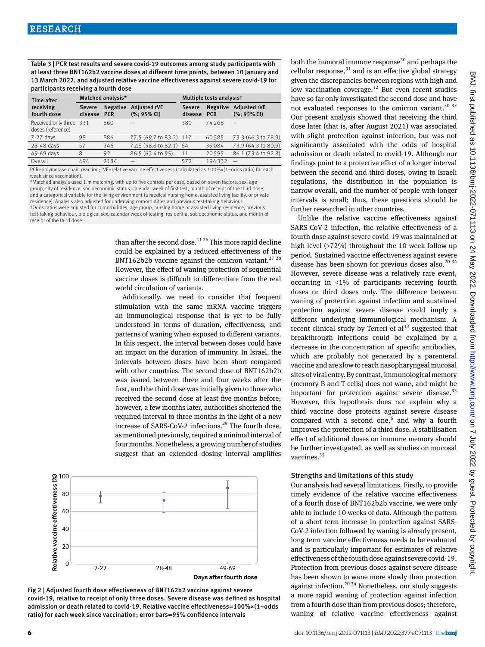Table 3 | PCR test results and severe covid-19 outcomes among study participants with at least three BNT162b2 vaccine doses at different time points, between 10 January and 13 March 2022, and adjusted relative vaccine effectiveness against severe covid-19 for participants receiving a fourth dose

| Time after<br>receiving<br>fourth dose       | Matched analysis*        |                               |                                                                | Multiple tests analysist     |                 |                                                               |
|----------------------------------------------|--------------------------|-------------------------------|----------------------------------------------------------------|------------------------------|-----------------|---------------------------------------------------------------|
|                                              | <b>Severe</b><br>disease | <b>Negative</b><br><b>PCR</b> | <b>Adjusted rVE</b><br>$(% \mathcal{L}_{0}^{\ast}$ (%; 95% CI) | <b>Severe</b><br>disease PCR | <b>Negative</b> | <b>Adjusted rVE</b><br>$(% \mathcal{O}_{0}; 95\% \text{ Cl})$ |
| Received only three 331<br>doses (reference) |                          | 860                           |                                                                | 380                          | 74268           |                                                               |
| 7-27 days                                    | 98                       | 886                           | 77.5 (69.7 to 83.2) 117                                        |                              | 60385           | 73.3 (66.3 to 78.9)                                           |
| 28-48 days                                   | 57                       | 346                           | 72.8 (58.8 to 82.1) 64                                         |                              | 39084           | 73.9 (64.3 to 80.9)                                           |
| 49-69 days                                   | 8                        | 92                            | 86.5 (63.4 to 95)                                              | 11                           | 20595           | 86.1 (73.4 to 92.8)                                           |
| Overall                                      | 494                      | 2184                          |                                                                | 572                          | 194332          |                                                               |

PCR=polymerase chain reaction; rVE=relative vaccine effectiveness (calculated as 100%×(1−odds ratio) for each week since vaccination).

\*Matched analysis used 1:m matching, with up to five controls per case, based on seven factors: sex, age group, city of residence, socioeconomic status, calendar week of first test, month of receipt of the third dose, and a categorical variable for the living environment (a medical nursing home, assisted living facility, or private residence). Analysis also adjusted for underlying comorbidities and previous test-taking behaviour. †Odds ratios were adjusted for comorbidities, age group, nursing home or assisted living residence, previous test-taking behaviour, biological sex, calendar week of testing, residential socioeconomic status, and month of receipt of the third dose

> than after the second dose.<sup>1126</sup> This more rapid decline could be explained by a reduced effectiveness of the BNT162b2b vaccine against the omicron variant.<sup>27</sup> <sup>28</sup> However, the effect of waning protection of sequential vaccine doses is difficult to differentiate from the real world circulation of variants.

> Additionally, we need to consider that frequent stimulation with the same mRNA vaccine triggers an immunological response that is yet to be fully understood in terms of duration, effectiveness, and patterns of waning when exposed to different variants. In this respect, the interval between doses could have an impact on the duration of immunity. In Israel, the intervals between doses have been short compared with other countries. The second dose of BNT162b2b was issued between three and four weeks after the first, and the third dose was initially given to those who received the second dose at least five months before; however, a few months later, authorities shortened the required interval to three months in the light of a new increase of SARS-CoV-2 infections.<sup>29</sup> The fourth dose, as mentioned previously, required a minimal interval of four months. Nonetheless, a growing number of studies suggest that an extended dosing interval amplifies





both the humoral immune response<sup>30</sup> and perhaps the cellular response, $31$  and is an effective global strategy given the discrepancies between regions with high and low vaccination coverage.<sup>32</sup> But even recent studies have so far only investigated the second dose and have not evaluated responses to the omicron variant.<sup>30 33</sup> Our present analysis showed that receiving the third dose later (that is, after August 2021) was associated with slight protection against infection, but was not significantly associated with the odds of hospital admission or death related to covid-19. Although our findings point to a protective effect of a longer interval between the second and third doses, owing to Israeli regulations, the distribution in the population is narrow overall, and the number of people with longer intervals is small; thus, these questions should be further researched in other countries.

Unlike the relative vaccine effectiveness against SARS-CoV-2 infection, the relative effectiveness of a fourth dose against severe covid-19 was maintained at high level (>72%) throughout the 10 week follow-up period. Sustained vaccine effectiveness against severe disease has been shown for previous doses also.<sup>20 34</sup> However, severe disease was a relatively rare event, occurring in <1% of participants receiving fourth doses or third doses only. The difference between waning of protection against infection and sustained protection against severe disease could imply a different underlying immunological mechanism. A recent clinical study by Terreri et  $al<sup>33</sup>$  suggested that breakthrough infections could be explained by a decrease in the concentration of specific antibodies, which are probably not generated by a parenteral vaccine and are slow to reach nasopharyngeal mucosal sites of viral entry. By contrast, immunological memory (memory B and T cells) does not wane, and might be important for protection against severe disease. $33$ However, this hypothesis does not explain why a third vaccine dose protects against severe disease compared with a second one, $6$  and why a fourth improves the protection of a third dose. A stabilisation effect of additional doses on immune memory should be further investigated, as well as studies on mucosal vaccines.<sup>35</sup>

### Strengths and limitations of this study

Our analysis had several limitations. Firstly, to provide timely evidence of the relative vaccine effectiveness of a fourth dose of BNT162b2b vaccine, we were only able to include 10 weeks of data. Although the pattern of a short term increase in protection against SARS-CoV-2 infection followed by waning is already present, long term vaccine effectiveness needs to be evaluated and is particularly important for estimates of relative effectiveness of the fourth dose against severe covid-19. Protection from previous doses against severe disease has been shown to wane more slowly than protection against infection.<sup>20 34</sup> Nonetheless, our study suggests a more rapid waning of protection against infection from a fourth dose than from previous doses; therefore, waning of relative vaccine effectiveness against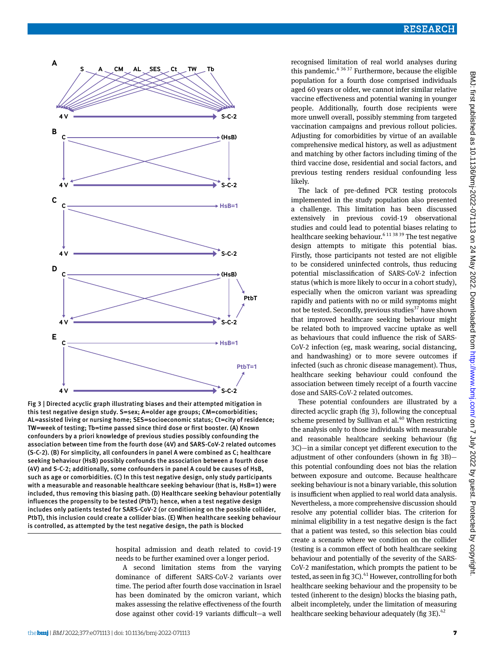

Fig 3 | Directed acyclic graph illustrating biases and their attempted mitigation in this test negative design study. S=sex; A=older age groups; CM=comorbidities; AL=assisted living or nursing home; SES =socioeconomic status; Ct=city of residence; TW=week of testing; Tb=time passed since third dose or first booster. (A) Known confounders by a priori knowledge of previous studies possibly confounding the association between time from the fourth dose (4V) and SARS -CoV-2 related outcomes (S-C-2). (B) For simplicity, all confounders in panel A were combined as C; healthcare seeking behaviour (HsB) possibly confounds the association between a fourth dose (4V) and S-C-2; additionally, some confounders in panel A could be causes of HsB, such as age or comorbidities. (C) In this test negative design, only study participants with a measurable and reasonable healthcare seeking behaviour (that is, HsB=1) were included, thus removing this biasing path. (D) Healthcare seeking behaviour potentially influences the propensity to be tested (PtbT); hence, when a test negative design includes only patients tested for SARS -CoV-2 (or conditioning on the possible collider, PtbT), this inclusion could create a collider bias. (E) When healthcare seeking behaviour is controlled, as attempted by the test negative design, the path is blocked

hospital admission and death related to covid-19 needs to be further examined over a longer period.

A second limitation stems from the varying dominance of different SARS-CoV-2 variants over time. The period after fourth dose vaccination in Israel has been dominated by the omicron variant, which makes assessing the relative effectiveness of the fourth dose against other covid-19 variants difficult—a well recognised limitation of real world analyses during this pandemic.6 36 37 Furthermore, because the eligible population for a fourth dose comprised individuals aged 60 years or older, we cannot infer similar relative vaccine effectiveness and potential waning in younger people. Additionally, fourth dose recipients were more unwell overall, possibly stemming from targeted vaccination campaigns and previous rollout policies. Adjusting for comorbidities by virtue of an available comprehensive medical history, as well as adjustment and matching by other factors including timing of the third vaccine dose, residential and social factors, and previous testing renders residual confounding less likely.

The lack of pre-defined PCR testing protocols implemented in the study population also presented a challenge. This limitation has been discussed extensively in previous covid-19 observational studies and could lead to potential biases relating to healthcare seeking behaviour.<sup>6 11 38 39</sup> The test negative design attempts to mitigate this potential bias. Firstly, those participants not tested are not eligible to be considered uninfected controls, thus reducing potential misclassification of SARS-CoV-2 infection status (which is more likely to occur in a cohort study), especially when the omicron variant was spreading rapidly and patients with no or mild symptoms might not be tested. Secondly, previous studies<sup>37</sup> have shown that improved healthcare seeking behaviour might be related both to improved vaccine uptake as well as behaviours that could influence the risk of SARS-CoV-2 infection (eg, mask wearing, social distancing, and handwashing) or to more severe outcomes if infected (such as chronic disease management). Thus, healthcare seeking behaviour could confound the association between timely receipt of a fourth vaccine dose and SARS-CoV-2 related outcomes.

These potential confounders are illustrated by a directed acyclic graph (fig 3), following the conceptual scheme presented by Sullivan et al. $40$  When restricting the analysis only to those individuals with measurable and reasonable healthcare seeking behaviour (fig 3C)—in a similar concept yet different execution to the adjustment of other confounders (shown in fig 3B) this potential confounding does not bias the relation between exposure and outcome. Because healthcare seeking behaviour is not a binary variable, this solution is insufficient when applied to real world data analysis. Nevertheless, a more comprehensive discussion should resolve any potential collider bias. The criterion for minimal eligibility in a test negative design is the fact that a patient was tested, so this selection bias could create a scenario where we condition on the collider (testing is a common effect of both healthcare seeking behaviour and potentially of the severity of the SARS-CoV-2 manifestation, which prompts the patient to be tested, as seen in fig 3C). $^{41}$  However, controlling for both healthcare seeking behaviour and the propensity to be tested (inherent to the design) blocks the biasing path, albeit incompletely, under the limitation of measuring healthcare seeking behaviour adequately (fig 3E).<sup>42</sup>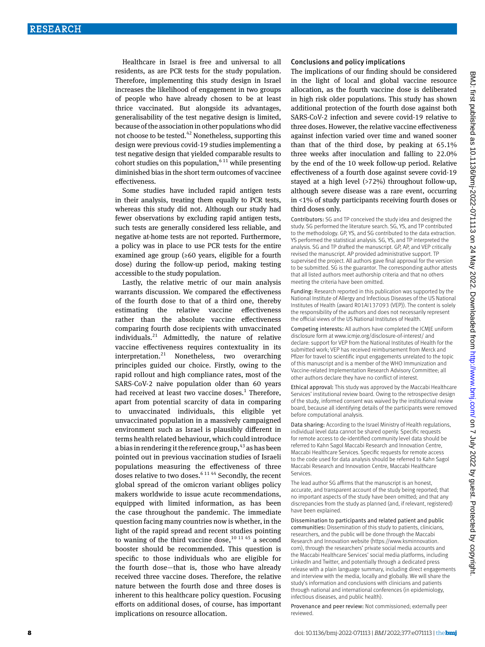Healthcare in Israel is free and universal to all residents, as are PCR tests for the study population. Therefore, implementing this study design in Israel increases the likelihood of engagement in two groups of people who have already chosen to be at least thrice vaccinated. But alongside its advantages, generalisability of the test negative design is limited, because of the association in other populations who did not choose to be tested.<sup>42</sup> Nonetheless, supporting this design were previous covid-19 studies implementing a test negative design that yielded comparable results to cohort studies on this population,  $611$  while presenting diminished bias in the short term outcomes of vaccinee effectiveness.

Some studies have included rapid antigen tests in their analysis, treating them equally to PCR tests, whereas this study did not. Although our study had fewer observations by excluding rapid antigen tests, such tests are generally considered less reliable, and negative at-home tests are not reported. Furthermore, a policy was in place to use PCR tests for the entire examined age group (≥60 years, eligible for a fourth dose) during the follow-up period, making testing accessible to the study population.

Lastly, the relative metric of our main analysis warrants discussion. We compared the effectiveness of the fourth dose to that of a third one, thereby estimating the relative vaccine effectiveness rather than the absolute vaccine effectiveness comparing fourth dose recipients with unvaccinated individuals. $^{21}$  Admittedly, the nature of relative vaccine effectiveness requires contextuality in its interpretation.<sup>21</sup> Nonetheless, two overarching principles guided our choice. Firstly, owing to the rapid rollout and high compliance rates, most of the SARS-CoV-2 naive population older than 60 years had received at least two vaccine doses.<sup>1</sup> Therefore, apart from potential scarcity of data in comparing to unvaccinated individuals, this eligible yet unvaccinated population in a massively campaigned environment such as Israel is plausibly different in terms health related behaviour, which could introduce a bias in rendering it the reference group, <sup>43</sup> as has been pointed out in previous vaccination studies of Israeli populations measuring the effectiveness of three doses relative to two doses.<sup>6 11 44</sup> Secondly, the recent global spread of the omicron variant obliges policy makers worldwide to issue acute recommendations, equipped with limited information, as has been the case throughout the pandemic. The immediate question facing many countries now is whether, in the light of the rapid spread and recent studies pointing to waning of the third vaccine dose,  $10^{11}$  45 a second booster should be recommended. This question is specific to those individuals who are eligible for the fourth dose—that is, those who have already received three vaccine doses. Therefore, the relative nature between the fourth dose and three doses is inherent to this healthcare policy question. Focusing efforts on additional doses, of course, has important implications on resource allocation.

#### Conclusions and policy implications

The implications of our finding should be considered in the light of local and global vaccine resource allocation, as the fourth vaccine dose is deliberated in high risk older populations. This study has shown additional protection of the fourth dose against both SARS-CoV-2 infection and severe covid-19 relative to three doses. However, the relative vaccine effectiveness against infection varied over time and waned sooner than that of the third dose, by peaking at 65.1% three weeks after inoculation and falling to 22.0% by the end of the 10 week follow-up period. Relative effectiveness of a fourth dose against severe covid-19 stayed at a high level (>72%) throughout follow-up, although severe disease was a rare event, occurring in <1% of study participants receiving fourth doses or third doses only.

Contributors: SG and TP conceived the study idea and designed the study. SG performed the literature search. SG, YS, and TP contributed to the methodology. GP, YS, and SG contributed to the data extraction. YS performed the statistical analysis. SG, YS, and TP interpreted the analysis. SG and TP drafted the manuscript. GP, AP, and VEP critically revised the manuscript. AP provided administrative support. TP supervised the project. All authors gave final approval for the version to be submitted. SG is the guarantor. The corresponding author attests that all listed authors meet authorship criteria and that no others meeting the criteria have been omitted.

Funding: Research reported in this publication was supported by the National Institute of Allergy and Infectious Diseases of the US National Institutes of Health (award R01AI137093 (VEP)). The content is solely the responsibility of the authors and does not necessarily represent the official views of the US National Institutes of Health.

Competing interests: All authors have completed the ICMJE uniform disclosure form at [www.icmje.org/disclosure-of-interest/](http://www.icmje.org/disclosure-of-interest/) and declare: support for VEP from the National Institutes of Health for the submitted work; VEP has received reimbursement from Merck and Pfizer for travel to scientific input engagements unrelated to the topic of this manuscript and is a member of the WHO Immunization and Vaccine-related Implementation Research Advisory Committee; all other authors declare they have no conflict of interest.

Ethical approval: This study was approved by the Maccabi Healthcare Services' institutional review board. Owing to the retrospective design of the study, informed consent was waived by the institutional review board, because all identifying details of the participants were removed before computational analysis.

Data sharing: According to the Israel Ministry of Health regulations, individual level data cannot be shared openly. Specific requests for remote access to de-identified community level data should be referred to Kahn Sagol Maccabi Research and Innovation Centre, Maccabi Healthcare Services. Specific requests for remote access to the code used for data analysis should be referred to Kahn Sagol Maccabi Research and Innovation Centre, Maccabi Healthcare Services.

The lead author SG affirms that the manuscript is an honest, accurate, and transparent account of the study being reported; that no important aspects of the study have been omitted; and that any discrepancies from the study as planned (and, if relevant, registered) have been explained.

Dissemination to participants and related patient and public communities: Dissemination of this study to patients, clinicians, researchers, and the public will be done through the Maccabi Research and Innovation website [\(https://www.ksminnovation.](https://www.ksminnovation.com) [com\)](https://www.ksminnovation.com), through the researchers' private social media accounts and the Maccabi Healthcare Services' social media platforms, including LinkedIn and Twitter, and potentially through a dedicated press release with a plain language summary, including direct engagements and interview with the media, locally and globally. We will share the study's information and conclusions with clinicians and patients through national and international conferences (in epidemiology, infectious diseases, and public health).

Provenance and peer review: Not commissioned; externally peer reviewed.